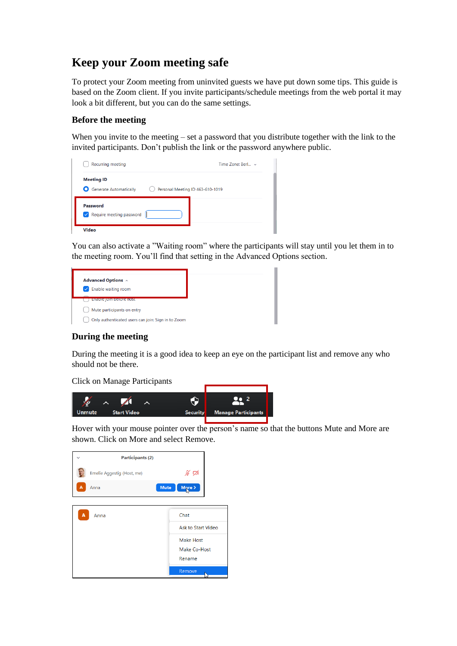## **Keep your Zoom meeting safe**

To protect your Zoom meeting from uninvited guests we have put down some tips. This guide is based on the Zoom client. If you invite participants/schedule meetings from the web portal it may look a bit different, but you can do the same settings.

## **Before the meeting**

When you invite to the meeting – set a password that you distribute together with the link to the invited participants. Don't publish the link or the password anywhere public.

| <b>Recurring meeting</b>                                                                            | Time Zone: Berl $\sim$ |
|-----------------------------------------------------------------------------------------------------|------------------------|
| <b>Meeting ID</b><br><b>Generate Automatically</b><br>$\bullet$<br>Personal Meeting ID 463-610-1019 |                        |
| Password<br>$\vee$ Require meeting password                                                         |                        |
| Video                                                                                               |                        |

You can also activate a "Waiting room" where the participants will stay until you let them in to the meeting room. You'll find that setting in the Advanced Options section.

## **During the meeting**

During the meeting it is a good idea to keep an eye on the participant list and remove any who should not be there.

Click on Manage Participants



Hover with your mouse pointer over the person's name so that the buttons Mute and More are shown. Click on More and select Remove.

|   | <b>Participants (2)</b>    |             |                    |    |
|---|----------------------------|-------------|--------------------|----|
|   | Emelie Aggestig (Host, me) |             | ∦ ⊄                |    |
| A | Anna                       | <b>Mute</b> | More >             |    |
|   |                            |             |                    |    |
| A | Anna                       |             | Chat               |    |
|   |                            |             | Ask to Start Video |    |
|   |                            |             | <b>Make Host</b>   |    |
|   |                            |             | Make Co-Host       |    |
|   |                            |             | Rename             |    |
|   |                            |             | Remove             | L۶ |